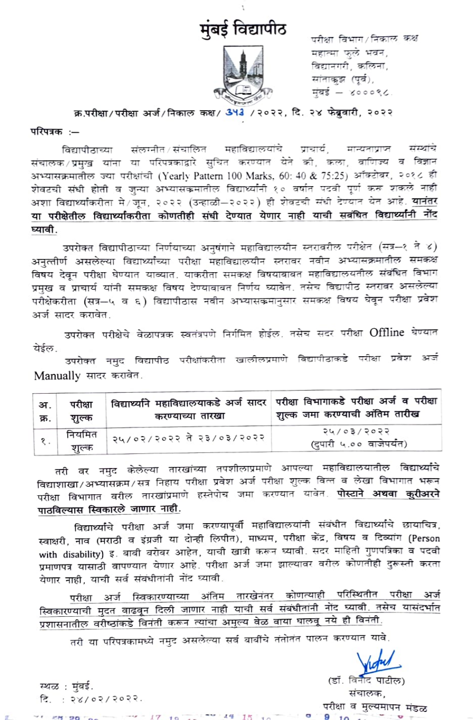

परीक्षा विभाग/निकाल कक्ष महात्मा फुले भवन, विद्यानगरी, कलिना, सांताकुझ (पूर्व), मुंबई — ४०००९८.

क्र.परीक्षा/परीक्षा अर्ज/निकाल कक्ष/ 343 /२०२२, दि. २४ फेब्रुवारी, २०२२

परिपत्रक :-

विद्यापीठाच्या संलग्नीत/संचालित महाविद्यालयांचे प्राचार्य, मान्यताप्राप्त संस्थांचे संचालक/प्रमुख यांना या परिपत्रकाद्वारे सुचित करण्यात येते की, कला, वाणिज्य व विज्ञान अभ्यासक्रमातील ज्या परीक्षांची (Yearly Pattern 100 Marks, 60: 40 & 75:25) ऑक्टोबर, २०१८ ही शेवटची संधी होती व जुन्या अभ्यासकमातील विद्यार्थ्यांनी १० वर्षात पटवी पूर्ण करू शकले नाही अशा विद्यार्थ्याकरीता मे/जून, २०२२ (उन्हाळी–२०२२) ही शेवटची संधी देण्यात येत आहे. <mark>यानंतर</mark> या परीक्षेतील विद्यार्थ्याकरीता कोणतीही संधी देण्यात येणार नाही याची सबंधित विद्यार्<mark>थ्यांनी नों</mark>द घ्यावी.

उपरोक्त विद्यापीठाच्या निर्णयाच्या अनुषंगाने महाविद्यालयीन स्तरावरील परीक्षेत (सत्र-१ ते ४) अनुत्तीर्ण असलेल्या विद्यार्थ्यांच्या परीक्षा महाविद्यालयीन स्तरावर नवीन अभ्यासक्रमातील समकक्ष विषय देवून परीक्षा घेण्यात याव्यात. याकरीता समकक्ष विषयाबाबत महाविद्यालयतील संबंधित विभाग प्रमुख व प्राचार्य यांनी समकक्ष विषय देण्याबाबत निर्णय घ्यावेत. तसेच विद्यापीठ स्तरावर असलेल्या परीक्षेकरीता (सत्र—५ व ६) विद्यापीठास नवीन अभ्यासकमानुसार समकक्ष विषय घेवून परीक्षा प्रवेश अर्ज सादर करावेत.

उपरोक्त परीक्षेचे वेळापत्रक स्वतंत्रपणे निर्गमित होईल. तसेच सदर परीक्षा Offline घेण्यात येईल.

उपरोक्त नमुद विद्यापीठ परीक्षांकरीता खालीलप्रमाणे विद्यापीठाकडे परीक्षा प्रवेश अर्ज Manually सादर करावेत.

| अ.   | परीक्षा         | करण्याच्या तारखा         | विद्यार्थ्याने महाविद्यालयाकडे अर्ज सादर परीक्षा विभागाकडे परीक्षा अर्ज व परीक्षा |
|------|-----------------|--------------------------|-----------------------------------------------------------------------------------|
| क्र. | शुल्क           |                          | शृल्क जमा करण्याची अंतिम तारीख                                                    |
|      | नियमित<br>शुल्क | २५/०२/२०२२ ते २३/०३/२०२२ | २५/०३/२०२२<br>(दुपारी ५.०० वाजेपर्यंत)                                            |

तरी वर नमुद केलेल्या तारखांच्या तपशीलाप्रमाणे आपल्या महाविद्यालयातील विद्यार्थ्यांचे विद्याशाखा/अभ्यासक्रम/सत्र निहाय परीक्षा प्रवेश अर्ज परीक्षा शुल्क वित्त व लेखा विभागात भरून परीक्षा विभागात वरील तारखांप्रमाणे हस्तेपोच जमा करण्यात यावेत. पोस्टाने अथवा कुरीअरने पाठविल्यास स्विकारले जाणार नाही.

विद्यार्थ्यांचे परीक्षा अर्ज जमा करण्यापूर्वी महाविद्यालयांनी संबंधीत विद्यार्थ्यांचे छायाचित्र, स्वाक्षरी, नाव (मराठी व इंग्रजी या दोन्ही लिपीत), माध्यम, परीक्षा केंद्र, विषय व दिव्यांग (Person with disability) इ. बाबी बरोबर आहेत, याची खात्री करून घ्यावी. सदर माहिती गुणपत्रिका व पदवी प्रमाणपत्र यासाठी वापण्यात येणार आहे. परीक्षा अर्ज जमा झाल्यावर वरील कोणतीही दुरूस्ती करता येणार नाही, याची सर्व संबंधीतांनी नोंद घ्यावी.

परीक्षा अर्ज स्विकारण्याच्या अंतिम तारखेनंतर कोणत्याही परिस्थितीत परीक्षा अर्ज स्विकारण्याची मुदत वाढवून दिली जाणार नाही याची सर्व संबंधीतांनी नोंद घ्यावी. तसेच यासंदर्भात प्रशासनातील वरीष्ठांकडे विनंती करून त्यांचा अमुल्य वेळ वाया घालवू नये ही विनंती.

तरी या परिपत्रकामध्ये नमुद असलेल्या सर्व बाबींचे तंतोतंत पालन करण्यात यावे.

 $1.9$ 

 $1.55$ 

 $-17.10 - 17.10$ 

स्थळ : मुंबई. दि.: २४/०२/२०२२.

**CHIDO CALL** 

(डॉ. वि परीक्षा व मुल्यमापन मंडळ

 $\overline{10}$